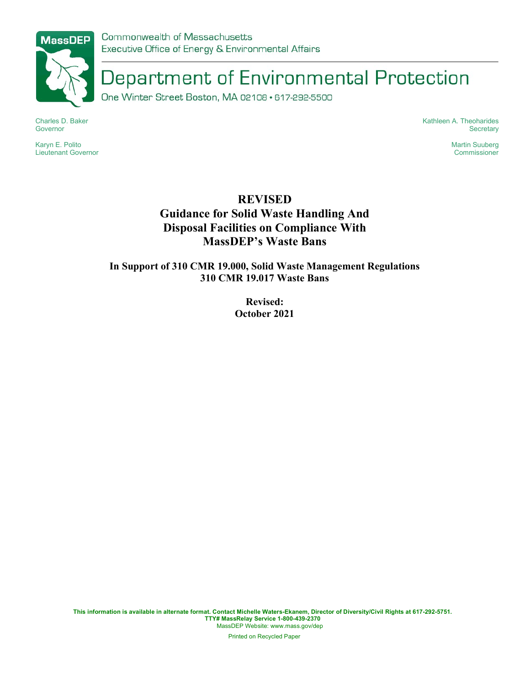

Department of Environmental Protection

One Winter Street Boston, MA 02108 · 617-292-5500

Charles D. Baker Governor

Karyn E. Polito Lieutenant Governor Kathleen A. Theoharides **Secretary** 

> Martin Suuberg Commissioner

# REVISED Guidance for Solid Waste Handling And Disposal Facilities on Compliance With MassDEP's Waste Bans

In Support of 310 CMR 19.000, Solid Waste Management Regulations 310 CMR 19.017 Waste Bans

> Revised: October 2021

This information is available in alternate format. Contact Michelle Waters-Ekanem, Director of Diversity/Civil Rights at 617-292-5751. TTY# MassRelay Service 1-800-439-2370 MassDEP Website: www.mass.gov/dep

Printed on Recycled Paper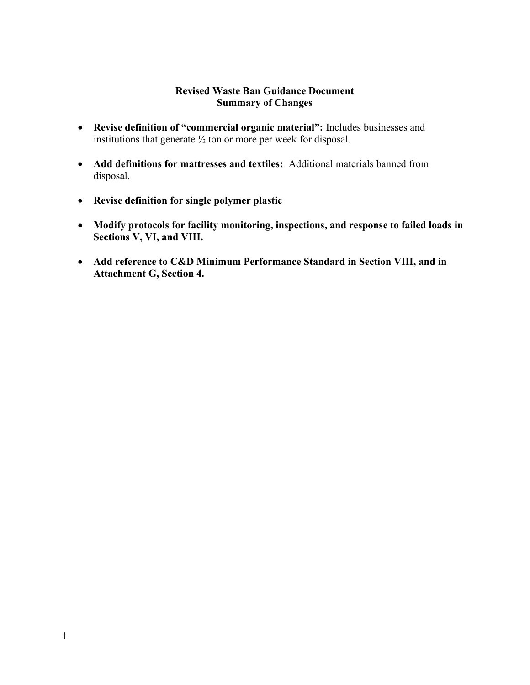#### Revised Waste Ban Guidance Document Summary of Changes

- Revise definition of "commercial organic material": Includes businesses and institutions that generate ½ ton or more per week for disposal.
- Add definitions for mattresses and textiles: Additional materials banned from disposal.
- Revise definition for single polymer plastic
- Modify protocols for facility monitoring, inspections, and response to failed loads in Sections V, VI, and VIII.
- Add reference to C&D Minimum Performance Standard in Section VIII, and in Attachment G, Section 4.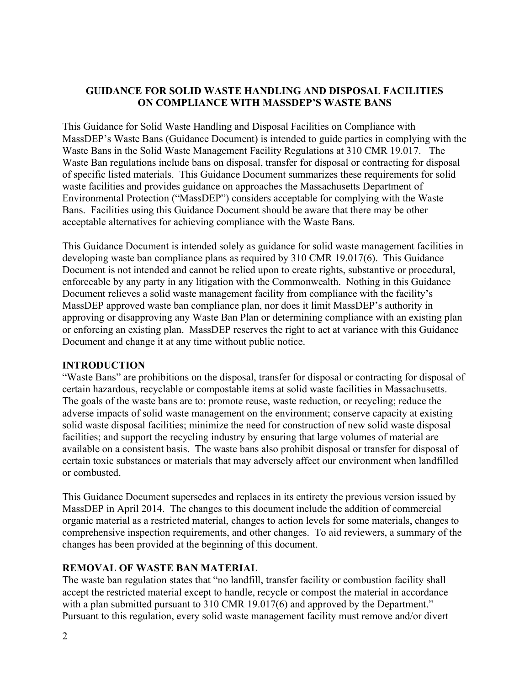## GUIDANCE FOR SOLID WASTE HANDLING AND DISPOSAL FACILITIES ON COMPLIANCE WITH MASSDEP'S WASTE BANS

This Guidance for Solid Waste Handling and Disposal Facilities on Compliance with MassDEP's Waste Bans (Guidance Document) is intended to guide parties in complying with the Waste Bans in the Solid Waste Management Facility Regulations at 310 CMR 19.017. The Waste Ban regulations include bans on disposal, transfer for disposal or contracting for disposal of specific listed materials. This Guidance Document summarizes these requirements for solid waste facilities and provides guidance on approaches the Massachusetts Department of Environmental Protection ("MassDEP") considers acceptable for complying with the Waste Bans. Facilities using this Guidance Document should be aware that there may be other acceptable alternatives for achieving compliance with the Waste Bans.

This Guidance Document is intended solely as guidance for solid waste management facilities in developing waste ban compliance plans as required by 310 CMR 19.017(6). This Guidance Document is not intended and cannot be relied upon to create rights, substantive or procedural, enforceable by any party in any litigation with the Commonwealth. Nothing in this Guidance Document relieves a solid waste management facility from compliance with the facility's MassDEP approved waste ban compliance plan, nor does it limit MassDEP's authority in approving or disapproving any Waste Ban Plan or determining compliance with an existing plan or enforcing an existing plan. MassDEP reserves the right to act at variance with this Guidance Document and change it at any time without public notice.

### INTRODUCTION

"Waste Bans" are prohibitions on the disposal, transfer for disposal or contracting for disposal of certain hazardous, recyclable or compostable items at solid waste facilities in Massachusetts. The goals of the waste bans are to: promote reuse, waste reduction, or recycling; reduce the adverse impacts of solid waste management on the environment; conserve capacity at existing solid waste disposal facilities; minimize the need for construction of new solid waste disposal facilities; and support the recycling industry by ensuring that large volumes of material are available on a consistent basis. The waste bans also prohibit disposal or transfer for disposal of certain toxic substances or materials that may adversely affect our environment when landfilled or combusted.

This Guidance Document supersedes and replaces in its entirety the previous version issued by MassDEP in April 2014. The changes to this document include the addition of commercial organic material as a restricted material, changes to action levels for some materials, changes to comprehensive inspection requirements, and other changes. To aid reviewers, a summary of the changes has been provided at the beginning of this document.

#### REMOVAL OF WASTE BAN MATERIAL

The waste ban regulation states that "no landfill, transfer facility or combustion facility shall accept the restricted material except to handle, recycle or compost the material in accordance with a plan submitted pursuant to 310 CMR 19.017(6) and approved by the Department." Pursuant to this regulation, every solid waste management facility must remove and/or divert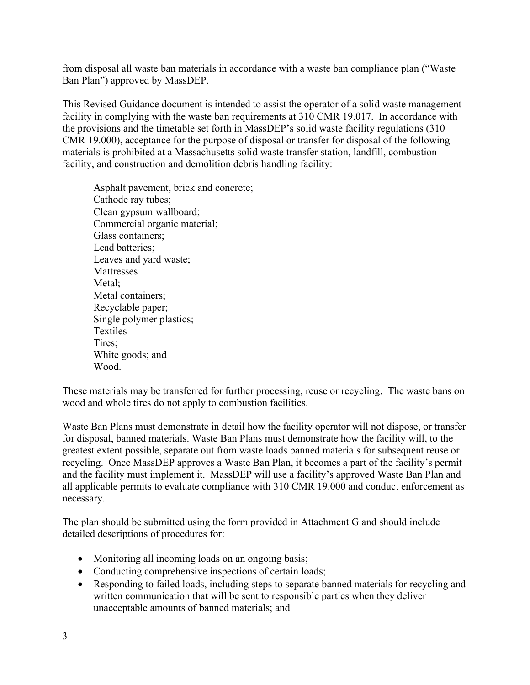from disposal all waste ban materials in accordance with a waste ban compliance plan ("Waste Ban Plan") approved by MassDEP.

This Revised Guidance document is intended to assist the operator of a solid waste management facility in complying with the waste ban requirements at 310 CMR 19.017. In accordance with the provisions and the timetable set forth in MassDEP's solid waste facility regulations (310 CMR 19.000), acceptance for the purpose of disposal or transfer for disposal of the following materials is prohibited at a Massachusetts solid waste transfer station, landfill, combustion facility, and construction and demolition debris handling facility:

Asphalt pavement, brick and concrete; Cathode ray tubes; Clean gypsum wallboard; Commercial organic material; Glass containers; Lead batteries; Leaves and yard waste; Mattresses Metal: Metal containers; Recyclable paper; Single polymer plastics; Textiles Tires; White goods; and Wood.

These materials may be transferred for further processing, reuse or recycling. The waste bans on wood and whole tires do not apply to combustion facilities.

Waste Ban Plans must demonstrate in detail how the facility operator will not dispose, or transfer for disposal, banned materials. Waste Ban Plans must demonstrate how the facility will, to the greatest extent possible, separate out from waste loads banned materials for subsequent reuse or recycling. Once MassDEP approves a Waste Ban Plan, it becomes a part of the facility's permit and the facility must implement it. MassDEP will use a facility's approved Waste Ban Plan and all applicable permits to evaluate compliance with 310 CMR 19.000 and conduct enforcement as necessary.

The plan should be submitted using the form provided in Attachment G and should include detailed descriptions of procedures for:

- Monitoring all incoming loads on an ongoing basis;
- Conducting comprehensive inspections of certain loads;
- Responding to failed loads, including steps to separate banned materials for recycling and written communication that will be sent to responsible parties when they deliver unacceptable amounts of banned materials; and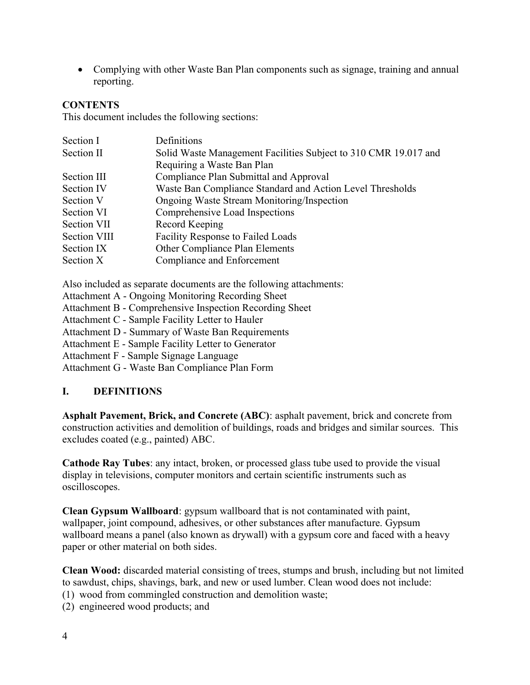Complying with other Waste Ban Plan components such as signage, training and annual reporting.

#### **CONTENTS**

This document includes the following sections:

| Section I    | Definitions                                                     |
|--------------|-----------------------------------------------------------------|
| Section II   | Solid Waste Management Facilities Subject to 310 CMR 19.017 and |
|              | Requiring a Waste Ban Plan                                      |
| Section III  | Compliance Plan Submittal and Approval                          |
| Section IV   | Waste Ban Compliance Standard and Action Level Thresholds       |
| Section V    | Ongoing Waste Stream Monitoring/Inspection                      |
| Section VI   | Comprehensive Load Inspections                                  |
| Section VII  | Record Keeping                                                  |
| Section VIII | Facility Response to Failed Loads                               |
| Section IX   | Other Compliance Plan Elements                                  |
| Section X    | Compliance and Enforcement                                      |

Also included as separate documents are the following attachments:

- Attachment A Ongoing Monitoring Recording Sheet
- Attachment B Comprehensive Inspection Recording Sheet
- Attachment C Sample Facility Letter to Hauler
- Attachment D Summary of Waste Ban Requirements
- Attachment E Sample Facility Letter to Generator
- Attachment F Sample Signage Language

Attachment G - Waste Ban Compliance Plan Form

#### I. DEFINITIONS

Asphalt Pavement, Brick, and Concrete (ABC): asphalt pavement, brick and concrete from construction activities and demolition of buildings, roads and bridges and similar sources. This excludes coated (e.g., painted) ABC.

Cathode Ray Tubes: any intact, broken, or processed glass tube used to provide the visual display in televisions, computer monitors and certain scientific instruments such as oscilloscopes.

Clean Gypsum Wallboard: gypsum wallboard that is not contaminated with paint, wallpaper, joint compound, adhesives, or other substances after manufacture. Gypsum wallboard means a panel (also known as drywall) with a gypsum core and faced with a heavy paper or other material on both sides.

Clean Wood: discarded material consisting of trees, stumps and brush, including but not limited to sawdust, chips, shavings, bark, and new or used lumber. Clean wood does not include:

(1) wood from commingled construction and demolition waste;

(2) engineered wood products; and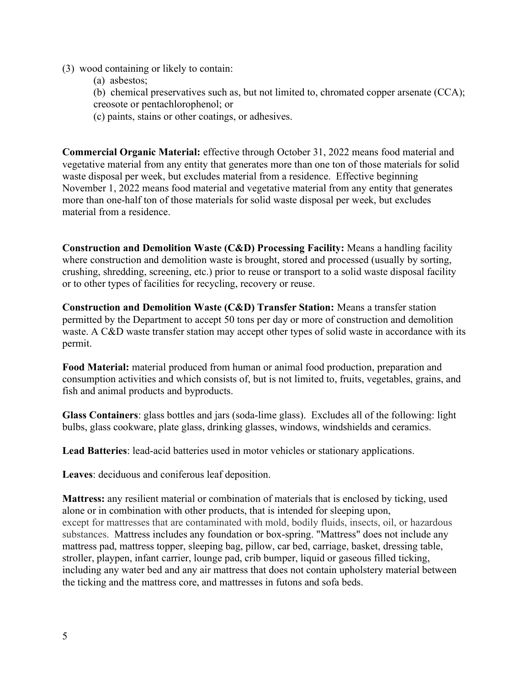#### (3) wood containing or likely to contain:

(a) asbestos;

(b) chemical preservatives such as, but not limited to, chromated copper arsenate (CCA); creosote or pentachlorophenol; or

(c) paints, stains or other coatings, or adhesives.

Commercial Organic Material: effective through October 31, 2022 means food material and vegetative material from any entity that generates more than one ton of those materials for solid waste disposal per week, but excludes material from a residence. Effective beginning November 1, 2022 means food material and vegetative material from any entity that generates more than one-half ton of those materials for solid waste disposal per week, but excludes material from a residence.

Construction and Demolition Waste (C&D) Processing Facility: Means a handling facility where construction and demolition waste is brought, stored and processed (usually by sorting, crushing, shredding, screening, etc.) prior to reuse or transport to a solid waste disposal facility or to other types of facilities for recycling, recovery or reuse.

Construction and Demolition Waste (C&D) Transfer Station: Means a transfer station permitted by the Department to accept 50 tons per day or more of construction and demolition waste. A C&D waste transfer station may accept other types of solid waste in accordance with its permit.

Food Material: material produced from human or animal food production, preparation and consumption activities and which consists of, but is not limited to, fruits, vegetables, grains, and fish and animal products and byproducts.

Glass Containers: glass bottles and jars (soda-lime glass). Excludes all of the following: light bulbs, glass cookware, plate glass, drinking glasses, windows, windshields and ceramics.

Lead Batteries: lead-acid batteries used in motor vehicles or stationary applications.

Leaves: deciduous and coniferous leaf deposition.

Mattress: any resilient material or combination of materials that is enclosed by ticking, used alone or in combination with other products, that is intended for sleeping upon, except for mattresses that are contaminated with mold, bodily fluids, insects, oil, or hazardous substances. Mattress includes any foundation or box-spring. "Mattress" does not include any mattress pad, mattress topper, sleeping bag, pillow, car bed, carriage, basket, dressing table, stroller, playpen, infant carrier, lounge pad, crib bumper, liquid or gaseous filled ticking, including any water bed and any air mattress that does not contain upholstery material between the ticking and the mattress core, and mattresses in futons and sofa beds.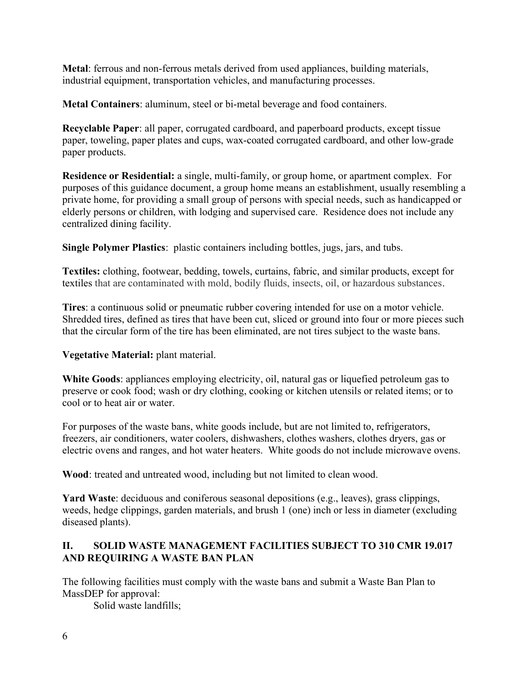Metal: ferrous and non-ferrous metals derived from used appliances, building materials, industrial equipment, transportation vehicles, and manufacturing processes.

Metal Containers: aluminum, steel or bi-metal beverage and food containers.

Recyclable Paper: all paper, corrugated cardboard, and paperboard products, except tissue paper, toweling, paper plates and cups, wax-coated corrugated cardboard, and other low-grade paper products.

Residence or Residential: a single, multi-family, or group home, or apartment complex. For purposes of this guidance document, a group home means an establishment, usually resembling a private home, for providing a small group of persons with special needs, such as handicapped or elderly persons or children, with lodging and supervised care. Residence does not include any centralized dining facility.

Single Polymer Plastics: plastic containers including bottles, jugs, jars, and tubs.

Textiles: clothing, footwear, bedding, towels, curtains, fabric, and similar products, except for textiles that are contaminated with mold, bodily fluids, insects, oil, or hazardous substances.

Tires: a continuous solid or pneumatic rubber covering intended for use on a motor vehicle. Shredded tires, defined as tires that have been cut, sliced or ground into four or more pieces such that the circular form of the tire has been eliminated, are not tires subject to the waste bans.

Vegetative Material: plant material.

White Goods: appliances employing electricity, oil, natural gas or liquefied petroleum gas to preserve or cook food; wash or dry clothing, cooking or kitchen utensils or related items; or to cool or to heat air or water.

For purposes of the waste bans, white goods include, but are not limited to, refrigerators, freezers, air conditioners, water coolers, dishwashers, clothes washers, clothes dryers, gas or electric ovens and ranges, and hot water heaters. White goods do not include microwave ovens.

Wood: treated and untreated wood, including but not limited to clean wood.

Yard Waste: deciduous and coniferous seasonal depositions (e.g., leaves), grass clippings, weeds, hedge clippings, garden materials, and brush 1 (one) inch or less in diameter (excluding diseased plants).

## II. SOLID WASTE MANAGEMENT FACILITIES SUBJECT TO 310 CMR 19.017 AND REQUIRING A WASTE BAN PLAN

The following facilities must comply with the waste bans and submit a Waste Ban Plan to MassDEP for approval:

Solid waste landfills;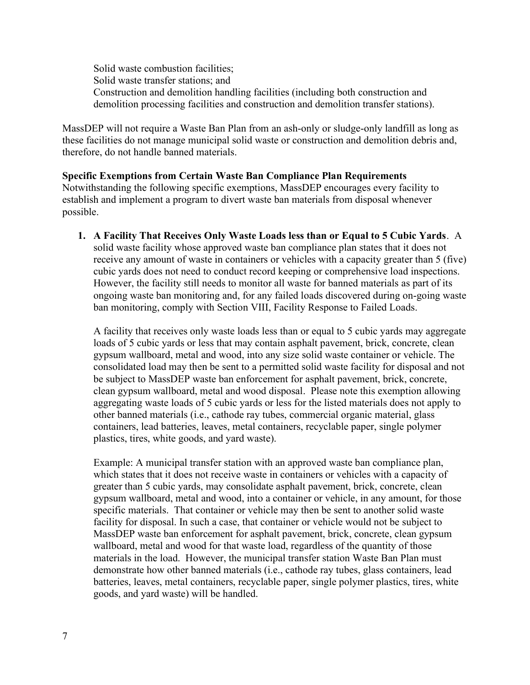Solid waste combustion facilities; Solid waste transfer stations; and Construction and demolition handling facilities (including both construction and demolition processing facilities and construction and demolition transfer stations).

MassDEP will not require a Waste Ban Plan from an ash-only or sludge-only landfill as long as these facilities do not manage municipal solid waste or construction and demolition debris and, therefore, do not handle banned materials.

#### Specific Exemptions from Certain Waste Ban Compliance Plan Requirements

Notwithstanding the following specific exemptions, MassDEP encourages every facility to establish and implement a program to divert waste ban materials from disposal whenever possible.

1. A Facility That Receives Only Waste Loads less than or Equal to 5 Cubic Yards. A solid waste facility whose approved waste ban compliance plan states that it does not receive any amount of waste in containers or vehicles with a capacity greater than 5 (five) cubic yards does not need to conduct record keeping or comprehensive load inspections. However, the facility still needs to monitor all waste for banned materials as part of its ongoing waste ban monitoring and, for any failed loads discovered during on-going waste ban monitoring, comply with Section VIII, Facility Response to Failed Loads.

A facility that receives only waste loads less than or equal to 5 cubic yards may aggregate loads of 5 cubic yards or less that may contain asphalt pavement, brick, concrete, clean gypsum wallboard, metal and wood, into any size solid waste container or vehicle. The consolidated load may then be sent to a permitted solid waste facility for disposal and not be subject to MassDEP waste ban enforcement for asphalt pavement, brick, concrete, clean gypsum wallboard, metal and wood disposal. Please note this exemption allowing aggregating waste loads of 5 cubic yards or less for the listed materials does not apply to other banned materials (i.e., cathode ray tubes, commercial organic material, glass containers, lead batteries, leaves, metal containers, recyclable paper, single polymer plastics, tires, white goods, and yard waste).

Example: A municipal transfer station with an approved waste ban compliance plan, which states that it does not receive waste in containers or vehicles with a capacity of greater than 5 cubic yards, may consolidate asphalt pavement, brick, concrete, clean gypsum wallboard, metal and wood, into a container or vehicle, in any amount, for those specific materials. That container or vehicle may then be sent to another solid waste facility for disposal. In such a case, that container or vehicle would not be subject to MassDEP waste ban enforcement for asphalt pavement, brick, concrete, clean gypsum wallboard, metal and wood for that waste load, regardless of the quantity of those materials in the load. However, the municipal transfer station Waste Ban Plan must demonstrate how other banned materials (i.e., cathode ray tubes, glass containers, lead batteries, leaves, metal containers, recyclable paper, single polymer plastics, tires, white goods, and yard waste) will be handled.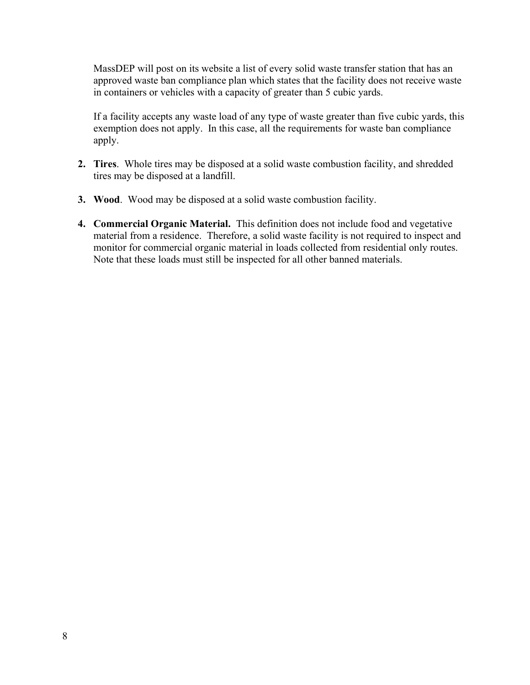MassDEP will post on its website a list of every solid waste transfer station that has an approved waste ban compliance plan which states that the facility does not receive waste in containers or vehicles with a capacity of greater than 5 cubic yards.

If a facility accepts any waste load of any type of waste greater than five cubic yards, this exemption does not apply. In this case, all the requirements for waste ban compliance apply.

- 2. Tires. Whole tires may be disposed at a solid waste combustion facility, and shredded tires may be disposed at a landfill.
- 3. Wood. Wood may be disposed at a solid waste combustion facility.
- 4. Commercial Organic Material. This definition does not include food and vegetative material from a residence. Therefore, a solid waste facility is not required to inspect and monitor for commercial organic material in loads collected from residential only routes. Note that these loads must still be inspected for all other banned materials.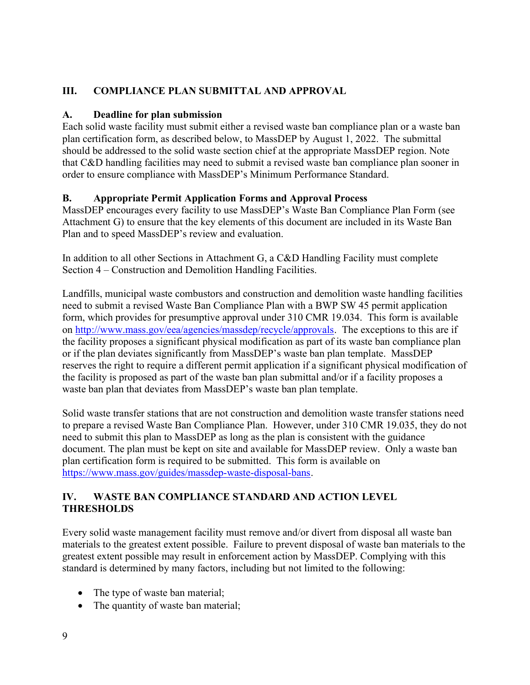## III. COMPLIANCE PLAN SUBMITTAL AND APPROVAL

## A. Deadline for plan submission

Each solid waste facility must submit either a revised waste ban compliance plan or a waste ban plan certification form, as described below, to MassDEP by August 1, 2022. The submittal should be addressed to the solid waste section chief at the appropriate MassDEP region. Note that C&D handling facilities may need to submit a revised waste ban compliance plan sooner in order to ensure compliance with MassDEP's Minimum Performance Standard.

## B. Appropriate Permit Application Forms and Approval Process

MassDEP encourages every facility to use MassDEP's Waste Ban Compliance Plan Form (see Attachment G) to ensure that the key elements of this document are included in its Waste Ban Plan and to speed MassDEP's review and evaluation.

In addition to all other Sections in Attachment G, a C&D Handling Facility must complete Section 4 – Construction and Demolition Handling Facilities.

Landfills, municipal waste combustors and construction and demolition waste handling facilities need to submit a revised Waste Ban Compliance Plan with a BWP SW 45 permit application form, which provides for presumptive approval under 310 CMR 19.034. This form is available on http://www.mass.gov/eea/agencies/massdep/recycle/approvals. The exceptions to this are if the facility proposes a significant physical modification as part of its waste ban compliance plan or if the plan deviates significantly from MassDEP's waste ban plan template. MassDEP reserves the right to require a different permit application if a significant physical modification of the facility is proposed as part of the waste ban plan submittal and/or if a facility proposes a waste ban plan that deviates from MassDEP's waste ban plan template.

Solid waste transfer stations that are not construction and demolition waste transfer stations need to prepare a revised Waste Ban Compliance Plan. However, under 310 CMR 19.035, they do not need to submit this plan to MassDEP as long as the plan is consistent with the guidance document. The plan must be kept on site and available for MassDEP review. Only a waste ban plan certification form is required to be submitted. This form is available on https://www.mass.gov/guides/massdep-waste-disposal-bans.

## IV. WASTE BAN COMPLIANCE STANDARD AND ACTION LEVEL THRESHOLDS

Every solid waste management facility must remove and/or divert from disposal all waste ban materials to the greatest extent possible. Failure to prevent disposal of waste ban materials to the greatest extent possible may result in enforcement action by MassDEP. Complying with this standard is determined by many factors, including but not limited to the following:

- The type of waste ban material;
- The quantity of waste ban material;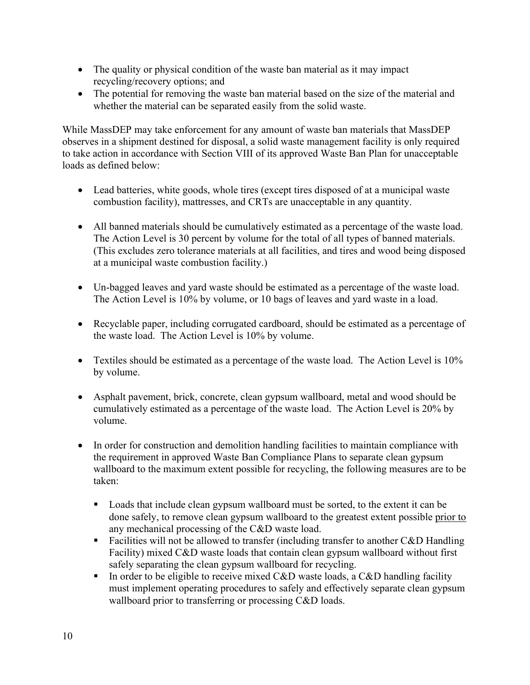- The quality or physical condition of the waste ban material as it may impact recycling/recovery options; and
- The potential for removing the waste ban material based on the size of the material and whether the material can be separated easily from the solid waste.

While MassDEP may take enforcement for any amount of waste ban materials that MassDEP observes in a shipment destined for disposal, a solid waste management facility is only required to take action in accordance with Section VIII of its approved Waste Ban Plan for unacceptable loads as defined below:

- Lead batteries, white goods, whole tires (except tires disposed of at a municipal waste combustion facility), mattresses, and CRTs are unacceptable in any quantity.
- All banned materials should be cumulatively estimated as a percentage of the waste load. The Action Level is 30 percent by volume for the total of all types of banned materials. (This excludes zero tolerance materials at all facilities, and tires and wood being disposed at a municipal waste combustion facility.)
- Un-bagged leaves and yard waste should be estimated as a percentage of the waste load. The Action Level is 10% by volume, or 10 bags of leaves and yard waste in a load.
- Recyclable paper, including corrugated cardboard, should be estimated as a percentage of the waste load. The Action Level is 10% by volume.
- Textiles should be estimated as a percentage of the waste load. The Action Level is 10% by volume.
- Asphalt pavement, brick, concrete, clean gypsum wallboard, metal and wood should be cumulatively estimated as a percentage of the waste load. The Action Level is 20% by volume.
- In order for construction and demolition handling facilities to maintain compliance with the requirement in approved Waste Ban Compliance Plans to separate clean gypsum wallboard to the maximum extent possible for recycling, the following measures are to be taken:
	- Loads that include clean gypsum wallboard must be sorted, to the extent it can be done safely, to remove clean gypsum wallboard to the greatest extent possible prior to any mechanical processing of the C&D waste load.
	- Facilities will not be allowed to transfer (including transfer to another  $C&D$  Handling Facility) mixed C&D waste loads that contain clean gypsum wallboard without first safely separating the clean gypsum wallboard for recycling.
	- In order to be eligible to receive mixed C&D waste loads, a C&D handling facility must implement operating procedures to safely and effectively separate clean gypsum wallboard prior to transferring or processing C&D loads.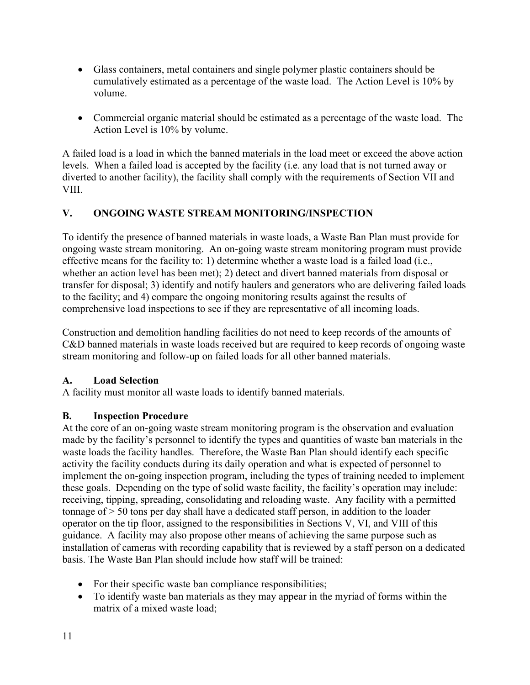- Glass containers, metal containers and single polymer plastic containers should be cumulatively estimated as a percentage of the waste load. The Action Level is 10% by volume.
- Commercial organic material should be estimated as a percentage of the waste load. The Action Level is 10% by volume.

A failed load is a load in which the banned materials in the load meet or exceed the above action levels. When a failed load is accepted by the facility (i.e. any load that is not turned away or diverted to another facility), the facility shall comply with the requirements of Section VII and VIII.

## V. ONGOING WASTE STREAM MONITORING/INSPECTION

To identify the presence of banned materials in waste loads, a Waste Ban Plan must provide for ongoing waste stream monitoring. An on-going waste stream monitoring program must provide effective means for the facility to: 1) determine whether a waste load is a failed load (i.e., whether an action level has been met); 2) detect and divert banned materials from disposal or transfer for disposal; 3) identify and notify haulers and generators who are delivering failed loads to the facility; and 4) compare the ongoing monitoring results against the results of comprehensive load inspections to see if they are representative of all incoming loads.

Construction and demolition handling facilities do not need to keep records of the amounts of C&D banned materials in waste loads received but are required to keep records of ongoing waste stream monitoring and follow-up on failed loads for all other banned materials.

### A. Load Selection

A facility must monitor all waste loads to identify banned materials.

## B. Inspection Procedure

At the core of an on-going waste stream monitoring program is the observation and evaluation made by the facility's personnel to identify the types and quantities of waste ban materials in the waste loads the facility handles. Therefore, the Waste Ban Plan should identify each specific activity the facility conducts during its daily operation and what is expected of personnel to implement the on-going inspection program, including the types of training needed to implement these goals. Depending on the type of solid waste facility, the facility's operation may include: receiving, tipping, spreading, consolidating and reloading waste. Any facility with a permitted tonnage of > 50 tons per day shall have a dedicated staff person, in addition to the loader operator on the tip floor, assigned to the responsibilities in Sections V, VI, and VIII of this guidance. A facility may also propose other means of achieving the same purpose such as installation of cameras with recording capability that is reviewed by a staff person on a dedicated basis. The Waste Ban Plan should include how staff will be trained:

- For their specific waste ban compliance responsibilities;
- To identify waste ban materials as they may appear in the myriad of forms within the matrix of a mixed waste load;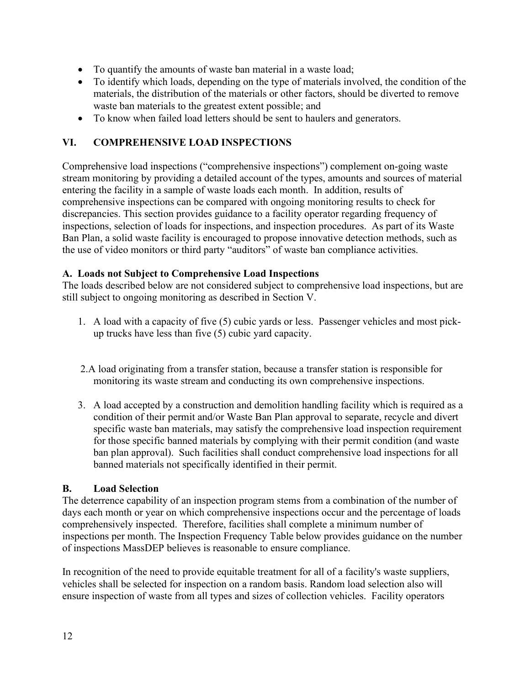- To quantify the amounts of waste ban material in a waste load;
- To identify which loads, depending on the type of materials involved, the condition of the materials, the distribution of the materials or other factors, should be diverted to remove waste ban materials to the greatest extent possible; and
- To know when failed load letters should be sent to haulers and generators.

## VI. COMPREHENSIVE LOAD INSPECTIONS

Comprehensive load inspections ("comprehensive inspections") complement on-going waste stream monitoring by providing a detailed account of the types, amounts and sources of material entering the facility in a sample of waste loads each month. In addition, results of comprehensive inspections can be compared with ongoing monitoring results to check for discrepancies. This section provides guidance to a facility operator regarding frequency of inspections, selection of loads for inspections, and inspection procedures. As part of its Waste Ban Plan, a solid waste facility is encouraged to propose innovative detection methods, such as the use of video monitors or third party "auditors" of waste ban compliance activities.

### A. Loads not Subject to Comprehensive Load Inspections

The loads described below are not considered subject to comprehensive load inspections, but are still subject to ongoing monitoring as described in Section V.

- 1. A load with a capacity of five (5) cubic yards or less. Passenger vehicles and most pickup trucks have less than five (5) cubic yard capacity.
- 2.A load originating from a transfer station, because a transfer station is responsible for monitoring its waste stream and conducting its own comprehensive inspections.
- 3. A load accepted by a construction and demolition handling facility which is required as a condition of their permit and/or Waste Ban Plan approval to separate, recycle and divert specific waste ban materials, may satisfy the comprehensive load inspection requirement for those specific banned materials by complying with their permit condition (and waste ban plan approval). Such facilities shall conduct comprehensive load inspections for all banned materials not specifically identified in their permit.

### B. Load Selection

The deterrence capability of an inspection program stems from a combination of the number of days each month or year on which comprehensive inspections occur and the percentage of loads comprehensively inspected. Therefore, facilities shall complete a minimum number of inspections per month. The Inspection Frequency Table below provides guidance on the number of inspections MassDEP believes is reasonable to ensure compliance.

In recognition of the need to provide equitable treatment for all of a facility's waste suppliers, vehicles shall be selected for inspection on a random basis. Random load selection also will ensure inspection of waste from all types and sizes of collection vehicles. Facility operators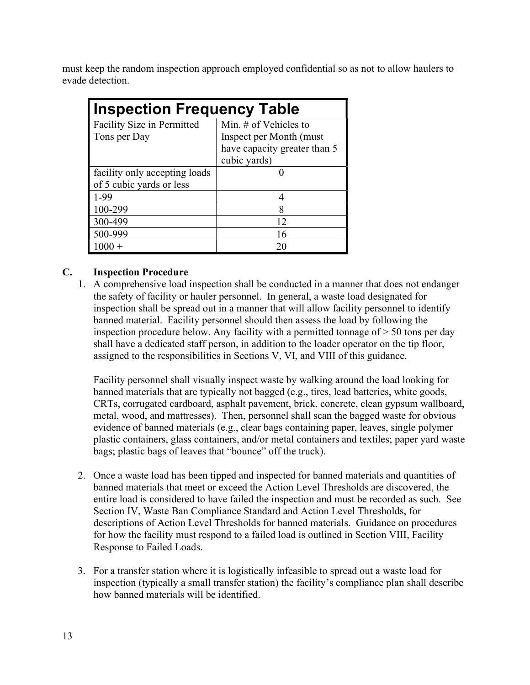must keep the random inspection approach employed confidential so as not to allow haulers to evade detection.

| <b>Inspection Frequency Table</b> |                              |  |  |
|-----------------------------------|------------------------------|--|--|
| Facility Size in Permitted        | Min. $#$ of Vehicles to      |  |  |
| Tons per Day                      | Inspect per Month (must)     |  |  |
|                                   | have capacity greater than 5 |  |  |
|                                   | cubic yards)                 |  |  |
| facility only accepting loads     |                              |  |  |
| of 5 cubic yards or less          |                              |  |  |
| $1-99$                            | 4                            |  |  |
| 100-299                           | 8                            |  |  |
| 300-499                           | 12                           |  |  |
| 500-999                           | 16                           |  |  |
|                                   | 20                           |  |  |

### C. Inspection Procedure

1. A comprehensive load inspection shall be conducted in a manner that does not endanger the safety of facility or hauler personnel. In general, a waste load designated for inspection shall be spread out in a manner that will allow facility personnel to identify banned material. Facility personnel should then assess the load by following the inspection procedure below. Any facility with a permitted tonnage of  $> 50$  tons per day shall have a dedicated staff person, in addition to the loader operator on the tip floor, assigned to the responsibilities in Sections V, VI, and VIII of this guidance.

Facility personnel shall visually inspect waste by walking around the load looking for banned materials that are typically not bagged (e.g., tires, lead batteries, white goods, CRTs, corrugated cardboard, asphalt pavement, brick, concrete, clean gypsum wallboard, metal, wood, and mattresses). Then, personnel shall scan the bagged waste for obvious evidence of banned materials (e.g., clear bags containing paper, leaves, single polymer plastic containers, glass containers, and/or metal containers and textiles; paper yard waste bags; plastic bags of leaves that "bounce" off the truck).

- 2. Once a waste load has been tipped and inspected for banned materials and quantities of banned materials that meet or exceed the Action Level Thresholds are discovered, the entire load is considered to have failed the inspection and must be recorded as such. See Section IV, Waste Ban Compliance Standard and Action Level Thresholds, for descriptions of Action Level Thresholds for banned materials. Guidance on procedures for how the facility must respond to a failed load is outlined in Section VIII, Facility Response to Failed Loads.
- 3. For a transfer station where it is logistically infeasible to spread out a waste load for inspection (typically a small transfer station) the facility's compliance plan shall describe how banned materials will be identified.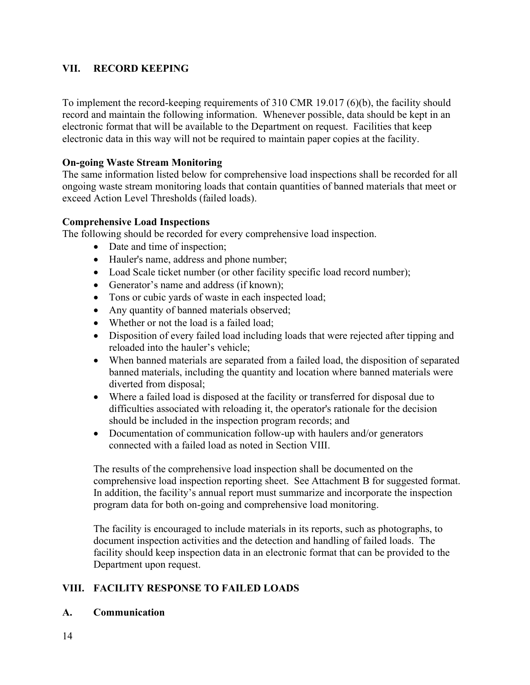### VII. RECORD KEEPING

To implement the record-keeping requirements of 310 CMR 19.017 (6)(b), the facility should record and maintain the following information. Whenever possible, data should be kept in an electronic format that will be available to the Department on request. Facilities that keep electronic data in this way will not be required to maintain paper copies at the facility.

#### On-going Waste Stream Monitoring

The same information listed below for comprehensive load inspections shall be recorded for all ongoing waste stream monitoring loads that contain quantities of banned materials that meet or exceed Action Level Thresholds (failed loads).

#### Comprehensive Load Inspections

The following should be recorded for every comprehensive load inspection.

- Date and time of inspection;
- Hauler's name, address and phone number;
- Load Scale ticket number (or other facility specific load record number);
- Generator's name and address (if known);
- Tons or cubic yards of waste in each inspected load;
- Any quantity of banned materials observed;
- Whether or not the load is a failed load;
- Disposition of every failed load including loads that were rejected after tipping and reloaded into the hauler's vehicle;
- When banned materials are separated from a failed load, the disposition of separated banned materials, including the quantity and location where banned materials were diverted from disposal;
- Where a failed load is disposed at the facility or transferred for disposal due to difficulties associated with reloading it, the operator's rationale for the decision should be included in the inspection program records; and
- Documentation of communication follow-up with haulers and/or generators connected with a failed load as noted in Section VIII.

The results of the comprehensive load inspection shall be documented on the comprehensive load inspection reporting sheet. See Attachment B for suggested format. In addition, the facility's annual report must summarize and incorporate the inspection program data for both on-going and comprehensive load monitoring.

The facility is encouraged to include materials in its reports, such as photographs, to document inspection activities and the detection and handling of failed loads. The facility should keep inspection data in an electronic format that can be provided to the Department upon request.

### VIII. FACILITY RESPONSE TO FAILED LOADS

#### A. Communication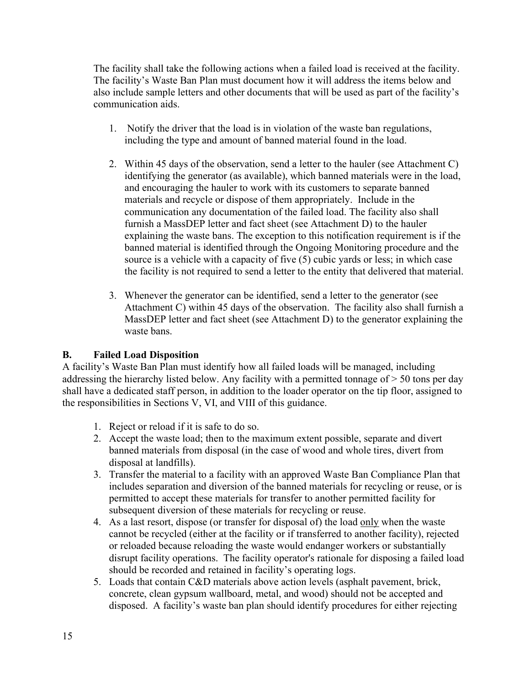The facility shall take the following actions when a failed load is received at the facility. The facility's Waste Ban Plan must document how it will address the items below and also include sample letters and other documents that will be used as part of the facility's communication aids.

- 1. Notify the driver that the load is in violation of the waste ban regulations, including the type and amount of banned material found in the load.
- 2. Within 45 days of the observation, send a letter to the hauler (see Attachment C) identifying the generator (as available), which banned materials were in the load, and encouraging the hauler to work with its customers to separate banned materials and recycle or dispose of them appropriately. Include in the communication any documentation of the failed load. The facility also shall furnish a MassDEP letter and fact sheet (see Attachment D) to the hauler explaining the waste bans. The exception to this notification requirement is if the banned material is identified through the Ongoing Monitoring procedure and the source is a vehicle with a capacity of five (5) cubic yards or less; in which case the facility is not required to send a letter to the entity that delivered that material.
- 3. Whenever the generator can be identified, send a letter to the generator (see Attachment C) within 45 days of the observation. The facility also shall furnish a MassDEP letter and fact sheet (see Attachment D) to the generator explaining the waste bans.

## B. Failed Load Disposition

A facility's Waste Ban Plan must identify how all failed loads will be managed, including addressing the hierarchy listed below. Any facility with a permitted tonnage of > 50 tons per day shall have a dedicated staff person, in addition to the loader operator on the tip floor, assigned to the responsibilities in Sections V, VI, and VIII of this guidance.

- 1. Reject or reload if it is safe to do so.
- 2. Accept the waste load; then to the maximum extent possible, separate and divert banned materials from disposal (in the case of wood and whole tires, divert from disposal at landfills).
- 3. Transfer the material to a facility with an approved Waste Ban Compliance Plan that includes separation and diversion of the banned materials for recycling or reuse, or is permitted to accept these materials for transfer to another permitted facility for subsequent diversion of these materials for recycling or reuse.
- 4. As a last resort, dispose (or transfer for disposal of) the load only when the waste cannot be recycled (either at the facility or if transferred to another facility), rejected or reloaded because reloading the waste would endanger workers or substantially disrupt facility operations. The facility operator's rationale for disposing a failed load should be recorded and retained in facility's operating logs.
- 5. Loads that contain C&D materials above action levels (asphalt pavement, brick, concrete, clean gypsum wallboard, metal, and wood) should not be accepted and disposed. A facility's waste ban plan should identify procedures for either rejecting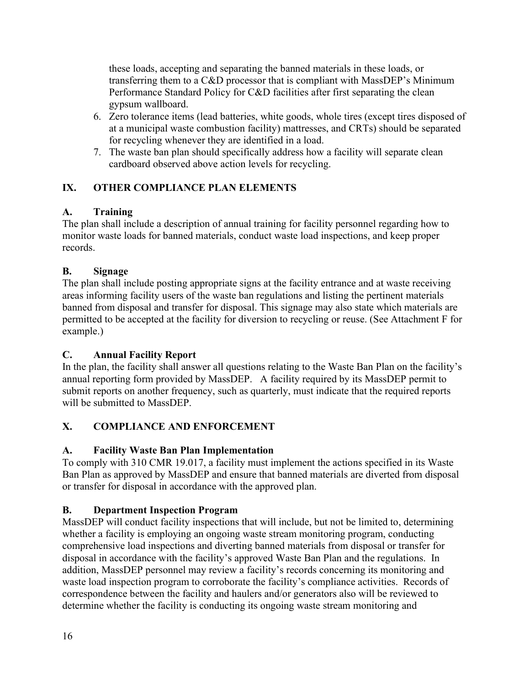these loads, accepting and separating the banned materials in these loads, or transferring them to a C&D processor that is compliant with MassDEP's Minimum Performance Standard Policy for C&D facilities after first separating the clean gypsum wallboard.

- 6. Zero tolerance items (lead batteries, white goods, whole tires (except tires disposed of at a municipal waste combustion facility) mattresses, and CRTs) should be separated for recycling whenever they are identified in a load.
- 7. The waste ban plan should specifically address how a facility will separate clean cardboard observed above action levels for recycling.

## IX. OTHER COMPLIANCE PLAN ELEMENTS

# A. Training

The plan shall include a description of annual training for facility personnel regarding how to monitor waste loads for banned materials, conduct waste load inspections, and keep proper records.

# B. Signage

The plan shall include posting appropriate signs at the facility entrance and at waste receiving areas informing facility users of the waste ban regulations and listing the pertinent materials banned from disposal and transfer for disposal. This signage may also state which materials are permitted to be accepted at the facility for diversion to recycling or reuse. (See Attachment F for example.)

## C. Annual Facility Report

In the plan, the facility shall answer all questions relating to the Waste Ban Plan on the facility's annual reporting form provided by MassDEP. A facility required by its MassDEP permit to submit reports on another frequency, such as quarterly, must indicate that the required reports will be submitted to MassDEP.

# X. COMPLIANCE AND ENFORCEMENT

## A. Facility Waste Ban Plan Implementation

To comply with 310 CMR 19.017, a facility must implement the actions specified in its Waste Ban Plan as approved by MassDEP and ensure that banned materials are diverted from disposal or transfer for disposal in accordance with the approved plan.

# B. Department Inspection Program

MassDEP will conduct facility inspections that will include, but not be limited to, determining whether a facility is employing an ongoing waste stream monitoring program, conducting comprehensive load inspections and diverting banned materials from disposal or transfer for disposal in accordance with the facility's approved Waste Ban Plan and the regulations. In addition, MassDEP personnel may review a facility's records concerning its monitoring and waste load inspection program to corroborate the facility's compliance activities. Records of correspondence between the facility and haulers and/or generators also will be reviewed to determine whether the facility is conducting its ongoing waste stream monitoring and